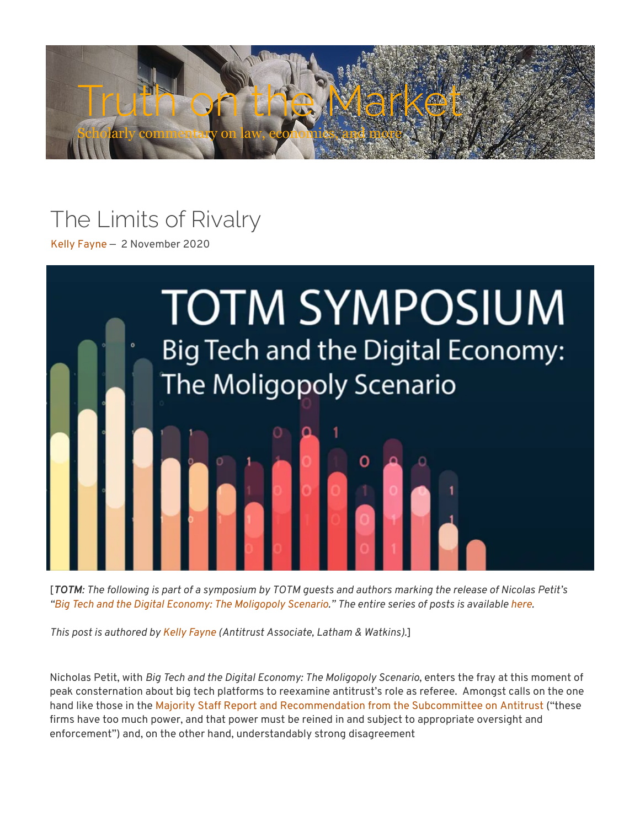

## The Limits of Rivalry

[Kelly Fayne —](https://truthonthemarket.com/author/kellyfayne/) 2 November 2020



[*TOTM: The following is part of a symposium by TOTM guests and authors marking the release of Nicolas Petit's "[Big Tech and the Digital Economy: The Moligopoly Scenario](https://www.amazon.com/Big-Tech-Digital-Economy-Moligopoly/dp/0198837704/ref=tmm_hrd_swatch_0?_encoding=UTF8&qid=1602535751&sr=8-1)." The entire series of posts is available [here.](https://truthonthemarket.com/symposia/symposium-on-big-tech-and-the-digital-economy-the-moligopoly-scenario/)* 

*This post is authored by [Kelly Fayne](https://www.lw.com/people/kelly-fayne) (Antitrust Associate, Latham & Watkins).*]

Nicholas Petit, with *Big Tech and the Digital Economy: The Moligopoly Scenario*, enters the fray at this moment of peak consternation about big tech platforms to reexamine antitrust's role as referee. Amongst calls on the one hand like those in the Majority Staff Report and Recommendation from the Subcommittee on Antitrust ("these firms have too much power, and that power must be reined in and subject to appropriate oversight and en[forcement"\) and, on the other hand, understandably strong disagreement](https://judiciary.house.gov/uploadedfiles/competition_in_digital_markets.pdf)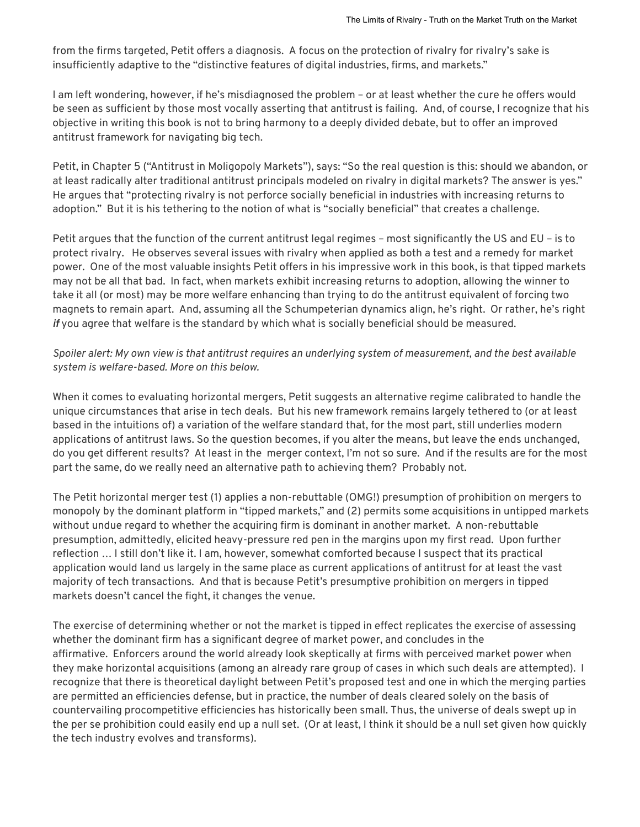from the firms targeted, Petit offers a diagnosis. A focus on the protection of rivalry for rivalry's sake is insufficiently adaptive to the "distinctive features of digital industries, firms, and markets."

I am left wondering, however, if he's misdiagnosed the problem – or at least whether the cure he offers would be seen as sufficient by those most vocally asserting that antitrust is failing. And, of course, I recognize that his objective in writing this book is not to bring harmony to a deeply divided debate, but to offer an improved antitrust framework for navigating big tech.

Petit, in Chapter 5 ("Antitrust in Moligopoly Markets"), says: "So the real question is this: should we abandon, or at least radically alter traditional antitrust principals modeled on rivalry in digital markets? The answer is yes." He argues that "protecting rivalry is not perforce socially beneficial in industries with increasing returns to adoption." But it is his tethering to the notion of what is "socially beneficial" that creates a challenge.

Petit argues that the function of the current antitrust legal regimes – most signicantly the US and EU – is to protect rivalry. He observes several issues with rivalry when applied as both a test and a remedy for market power. One of the most valuable insights Petit offers in his impressive work in this book, is that tipped markets may not be all that bad. In fact, when markets exhibit increasing returns to adoption, allowing the winner to take it all (or most) may be more welfare enhancing than trying to do the antitrust equivalent of forcing two magnets to remain apart. And, assuming all the Schumpeterian dynamics align, he's right. Or rather, he's right *if* you agree that welfare is the standard by which what is socially beneficial should be measured.

## *Spoiler alert: My own view is that antitrust requires an underlying system of measurement, and the best available system is welfare-based. More on this below.*

When it comes to evaluating horizontal mergers, Petit suggests an alternative regime calibrated to handle the unique circumstances that arise in tech deals. But his new framework remains largely tethered to (or at least based in the intuitions of) a variation of the welfare standard that, for the most part, still underlies modern applications of antitrust laws. So the question becomes, if you alter the means, but leave the ends unchanged, do you get different results? At least in the merger context, I'm not so sure. And if the results are for the most part the same, do we really need an alternative path to achieving them? Probably not.

The Petit horizontal merger test (1) applies a non-rebuttable (OMG!) presumption of prohibition on mergers to monopoly by the dominant platform in "tipped markets," and (2) permits some acquisitions in untipped markets without undue regard to whether the acquiring firm is dominant in another market. A non-rebuttable presumption, admittedly, elicited heavy-pressure red pen in the margins upon my first read. Upon further reflection ... I still don't like it. I am, however, somewhat comforted because I suspect that its practical application would land us largely in the same place as current applications of antitrust for at least the vast majority of tech transactions. And that is because Petit's presumptive prohibition on mergers in tipped markets doesn't cancel the fight, it changes the venue.

The exercise of determining whether or not the market is tipped in effect replicates the exercise of assessing whether the dominant firm has a significant degree of market power, and concludes in the affirmative. Enforcers around the world already look skeptically at firms with perceived market power when they make horizontal acquisitions (among an already rare group of cases in which such deals are attempted). I recognize that there is theoretical daylight between Petit's proposed test and one in which the merging parties are permitted an efficiencies defense, but in practice, the number of deals cleared solely on the basis of countervailing procompetitive efficiencies has historically been small. Thus, the universe of deals swept up in the per se prohibition could easily end up a null set. (Or at least, I think it should be a null set given how quickly the tech industry evolves and transforms).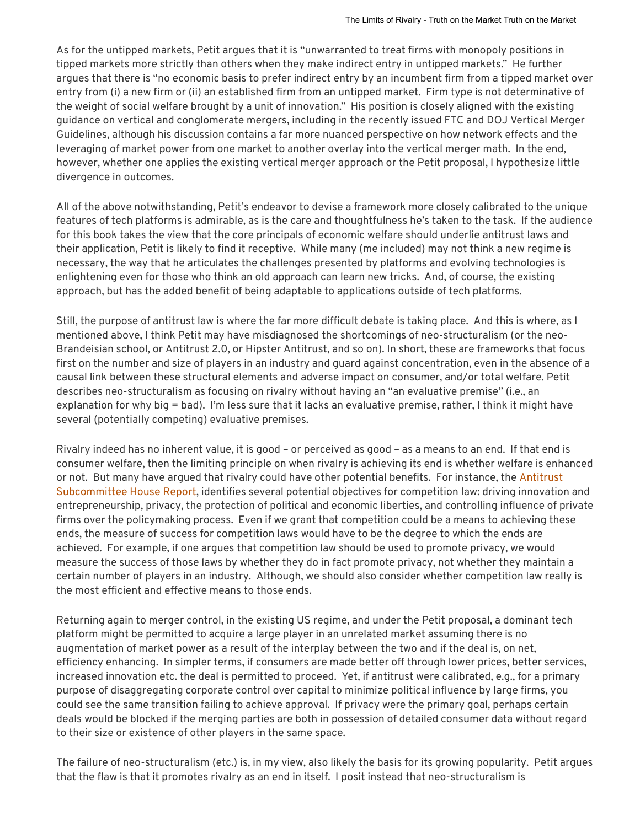As for the untipped markets, Petit argues that it is "unwarranted to treat firms with monopoly positions in tipped markets more strictly than others when they make indirect entry in untipped markets." He further argues that there is "no economic basis to prefer indirect entry by an incumbent firm from a tipped market over entry from (i) a new firm or (ii) an established firm from an untipped market. Firm type is not determinative of the weight of social welfare brought by a unit of innovation." His position is closely aligned with the existing guidance on vertical and conglomerate mergers, including in the recently issued FTC and DOJ Vertical Merger Guidelines, although his discussion contains a far more nuanced perspective on how network effects and the leveraging of market power from one market to another overlay into the vertical merger math. In the end, however, whether one applies the existing vertical merger approach or the Petit proposal, I hypothesize little divergence in outcomes.

All of the above notwithstanding, Petit's endeavor to devise a framework more closely calibrated to the unique features of tech platforms is admirable, as is the care and thoughtfulness he's taken to the task. If the audience for this book takes the view that the core principals of economic welfare should underlie antitrust laws and their application, Petit is likely to find it receptive. While many (me included) may not think a new regime is necessary, the way that he articulates the challenges presented by platforms and evolving technologies is enlightening even for those who think an old approach can learn new tricks. And, of course, the existing approach, but has the added benefit of being adaptable to applications outside of tech platforms.

Still, the purpose of antitrust law is where the far more difficult debate is taking place. And this is where, as I mentioned above, I think Petit may have misdiagnosed the shortcomings of neo-structuralism (or the neo-Brandeisian school, or Antitrust 2.0, or Hipster Antitrust, and so on). In short, these are frameworks that focus first on the number and size of players in an industry and quard against concentration, even in the absence of a causal link between these structural elements and adverse impact on consumer, and/or total welfare. Petit describes neo-structuralism as focusing on rivalry without having an "an evaluative premise" (i.e., an explanation for why big = bad). I'm less sure that it lacks an evaluative premise, rather, I think it might have several (potentially competing) evaluative premises.

Rivalry indeed has no inherent value, it is good – or perceived as good – as a means to an end. If that end is consumer welfare, then the limiting principle on when rivalry is achieving its end is whether welfare is enhanced or not. But many have argued that rivalry could have other potential benefits. For instance, the Antitrust Subcommittee House Report, identifies several potential objectives for competition law: driving innovation and entrepreneurship, privacy, the protection of political and economic liberties, and controlling influence of private firms over the policymaking process. Even if we grant that competition could be a means to achieving these ends, the measure of success for competition laws would have to be the degree to which the ends are achieved. For example, if one argues that competition law should be used to promote privacy, we would measure the success of those laws by whether they do in fact promote privacy, not whether they maintain a certain number of players in an industry. Although, we should also consider whether competition law really is the most efficient and effective means to those ends.

Returning again to merger control, in the existing US regime, and under the Petit proposal, a dominant tech platform might be permitted to acquire a large player in an unrelated market assuming there is no augmentation of market power as a result of the interplay between the two and if the deal is, on net, efficiency enhancing. In simpler terms, if consumers are made better off through lower prices, better services, increased innovation etc. the deal is permitted to proceed. Yet, if antitrust were calibrated, e.g., for a primary purpose of disaggregating corporate control over capital to minimize political influence by large firms, you could see the same transition failing to achieve approval. If privacy were the primary goal, perhaps certain deals would be blocked if the merging parties are both in possession of detailed consumer data without regard to their size or existence of other players in the same space.

The failure of neo-structuralism (etc.) is, in my view, also likely the basis for its growing popularity. Petit argues that the flaw is that it promotes rivalry as an end in itself. I posit instead that neo-structuralism is